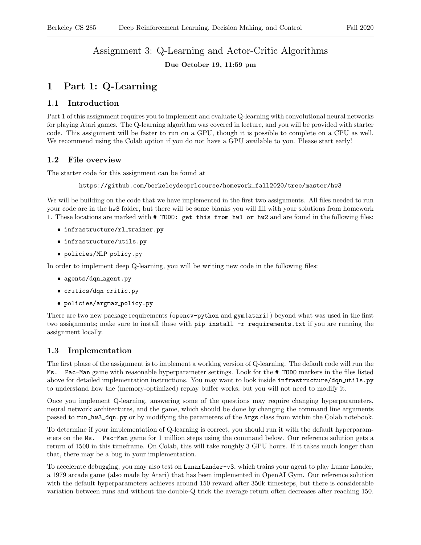# Assignment 3: Q-Learning and Actor-Critic Algorithms

#### Due October 19, 11:59 pm

# 1 Part 1: Q-Learning

### 1.1 Introduction

Part 1 of this assignment requires you to implement and evaluate Q-learning with convolutional neural networks for playing Atari games. The Q-learning algorithm was covered in lecture, and you will be provided with starter code. This assignment will be faster to run on a GPU, though it is possible to complete on a CPU as well. We recommend using the Colab option if you do not have a GPU available to you. Please start early!

### 1.2 File overview

The starter code for this assignment can be found at

[https://github.com/berkeleydeeprlcourse/homework\\_fall2020/tree/master/hw3](https://github.com/berkeleydeeprlcourse/homework_fall2020/tree/master/hw3)

We will be building on the code that we have implemented in the first two assignments. All files needed to run your code are in the hw3 folder, but there will be some blanks you will fill with your solutions from homework 1. These locations are marked with # TODO: get this from hw1 or hw2 and are found in the following files:

- infrastructure/rl\_trainer.py
- *•* infrastructure/utils.py
- policies/MLP\_policy.py

In order to implement deep Q-learning, you will be writing new code in the following files:

- *•* agents/dqn agent.py
- *•* critics/dqn critic.py
- policies/argmax\_policy.py

There are two new package requirements (opencv-python and gym[atari]) beyond what was used in the first two assignments; make sure to install these with pip install  $-r$  requirements.txt if you are running the assignment locally.

## 1.3 Implementation

The first phase of the assignment is to implement a working version of Q-learning. The default code will run the Ms. Pac-Man game with reasonable hyperparameter settings. Look for the # TODO markers in the files listed above for detailed implementation instructions. You may want to look inside infrastructure/dqn\_utils.py to understand how the (memory-optimized) replay buffer works, but you will not need to modify it.

Once you implement Q-learning, answering some of the questions may require changing hyperparameters, neural network architectures, and the game, which should be done by changing the command line arguments passed to run\_hw3\_dqn.py or by modifying the parameters of the Args class from within the Colab notebook.

To determine if your implementation of Q-learning is correct, you should run it with the default hyperparameters on the Ms. Pac-Man game for 1 million steps using the command below. Our reference solution gets a return of 1500 in this timeframe. On Colab, this will take roughly 3 GPU hours. If it takes much longer than that, there may be a bug in your implementation.

To accelerate debugging, you may also test on LunarLander-v3, which trains your agent to play Lunar Lander, a 1979 arcade game (also made by Atari) that has been implemented in OpenAI Gym. Our reference solution with the default hyperparameters achieves around 150 reward after 350k timesteps, but there is considerable variation between runs and without the double-Q trick the average return often decreases after reaching 150.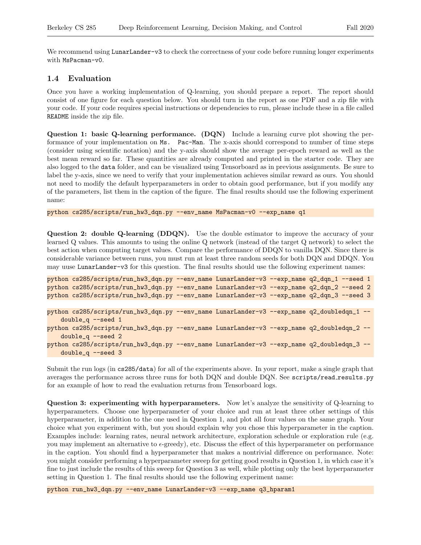We recommend using LunarLander-v3 to check the correctness of your code before running longer experiments with MsPacman-v0.

#### 1.4 Evaluation

Once you have a working implementation of Q-learning, you should prepare a report. The report should consist of one figure for each question below. You should turn in the report as one PDF and a zip file with your code. If your code requires special instructions or dependencies to run, please include these in a file called README inside the zip file.

Question 1: basic Q-learning performance. (DQN) Include a learning curve plot showing the performance of your implementation on Ms. Pac-Man. The x-axis should correspond to number of time steps (consider using scientific notation) and the y-axis should show the average per-epoch reward as well as the best mean reward so far. These quantities are already computed and printed in the starter code. They are also logged to the data folder, and can be visualized using Tensorboard as in previous assignments. Be sure to label the y-axis, since we need to verify that your implementation achieves similar reward as ours. You should not need to modify the default hyperparameters in order to obtain good performance, but if you modify any of the parameters, list them in the caption of the figure. The final results should use the following experiment name:

python cs285/scripts/run\_hw3\_dqn.py --env\_name MsPacman-v0 --exp\_name q1

Question 2: double Q-learning (DDQN). Use the double estimator to improve the accuracy of your learned Q values. This amounts to using the online Q network (instead of the target Q network) to select the best action when computing target values. Compare the performance of DDQN to vanilla DQN. Since there is considerable variance between runs, you must run at least three random seeds for both DQN and DDQN. You may uuse LunarLander-v3 for this question. The final results should use the following experiment names:

```
python cs285/scripts/run_hw3_dqn.py --env_name LunarLander-v3 --exp_name q2_dqn_1 --seed 1
python cs285/scripts/run_hw3_dqn.py --env_name LunarLander-v3 --exp_name q2_dqn_2 --seed 2
python cs285/scripts/run_hw3_dqn.py --env_name LunarLander-v3 --exp_name q2_dqn_3 --seed 3
python cs285/scripts/run_hw3_dqn.py --env_name LunarLander-v3 --exp_name q2_doubledqn_1 --
   double_q --seed 1
python cs285/scripts/run_hw3_dqn.py --env_name LunarLander-v3 --exp_name q2_doubledqn_2 --
   double_q --seed 2
python cs285/scripts/run_hw3_dqn.py --env_name LunarLander-v3 --exp_name q2_doubledqn_3 --
   double_q --seed 3
```
Submit the run logs (in cs285/data) for all of the experiments above. In your report, make a single graph that averages the performance across three runs for both DQN and double DQN. See scripts/read\_results.py for an example of how to read the evaluation returns from Tensorboard logs.

Question 3: experimenting with hyperparameters. Now let's analyze the sensitivity of Q-learning to hyperparameters. Choose one hyperparameter of your choice and run at least three other settings of this hyperparameter, in addition to the one used in Question 1, and plot all four values on the same graph. Your choice what you experiment with, but you should explain why you chose this hyperparameter in the caption. Examples include: learning rates, neural network architecture, exploration schedule or exploration rule (e.g. you may implement an alternative to  $\epsilon$ -greedy), etc. Discuss the effect of this hyperparameter on performance in the caption. You should find a hyperparameter that makes a nontrivial difference on performance. Note: you might consider performing a hyperparameter sweep for getting good results in Question 1, in which case it's fine to just include the results of this sweep for Question 3 as well, while plotting only the best hyperparameter setting in Question 1. The final results should use the following experiment name:

python run\_hw3\_dqn.py --env\_name LunarLander-v3 --exp\_name q3\_hparam1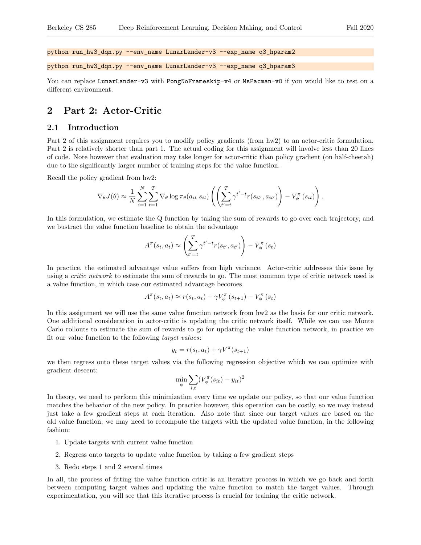python run\_hw3\_dqn.py --env\_name LunarLander-v3 --exp\_name q3\_hparam2 python run\_hw3\_dqn.py --env\_name LunarLander-v3 --exp\_name q3\_hparam3

You can replace LunarLander-v3 with PongNoFrameskip-v4 or MsPacman-v0 if you would like to test on a

different environment.

# 2 Part 2: Actor-Critic

#### 2.1 Introduction

Part 2 of this assignment requires you to modify policy gradients (from hw2) to an actor-critic formulation. Part 2 is relatively shorter than part 1. The actual coding for this assignment will involve less than 20 lines of code. Note however that evaluation may take longer for actor-critic than policy gradient (on half-cheetah) due to the significantly larger number of training steps for the value function.

Recall the policy gradient from hw2:

$$
\nabla_{\theta} J(\theta) \approx \frac{1}{N} \sum_{i=1}^{N} \sum_{t=1}^{T} \nabla_{\theta} \log \pi_{\theta}(a_{it}|s_{it}) \left( \left( \sum_{t'=t}^{T} \gamma^{t'-t} r(s_{it'}, a_{it'}) \right) - V_{\phi}^{\pi}(s_{it}) \right).
$$

In this formulation, we estimate the Q function by taking the sum of rewards to go over each trajectory, and we bustract the value function baseline to obtain the advantage

$$
A^{\pi}(s_t, a_t) \approx \left(\sum_{t'=t}^{T} \gamma^{t'-t} r(s_{t'}, a_{t'})\right) - V_{\phi}^{\pi}(s_t)
$$

In practice, the estimated advantage value suffers from high variance. Actor-critic addresses this issue by using a *critic network* to estimate the sum of rewards to go. The most common type of critic network used is a value function, in which case our estimated advantage becomes

$$
A^{\pi}(s_t, a_t) \approx r(s_t, a_t) + \gamma V_{\phi}^{\pi}(s_{t+1}) - V_{\phi}^{\pi}(s_t)
$$

In this assignment we will use the same value function network from hw2 as the basis for our critic network. One additional consideration in actor-critic is updating the critic network itself. While we can use Monte Carlo rollouts to estimate the sum of rewards to go for updating the value function network, in practice we fit our value function to the following *target values*:

$$
y_t = r(s_t, a_t) + \gamma V^{\pi}(s_{t+1})
$$

we then regress onto these target values via the following regression objective which we can optimize with gradient descent:

$$
\min_{\phi} \sum_{i,t} (V_{\phi}^{\pi}(s_{it}) - y_{it})^2
$$

In theory, we need to perform this minimization every time we update our policy, so that our value function matches the behavior of the new policy. In practice however, this operation can be costly, so we may instead just take a few gradient steps at each iteration. Also note that since our target values are based on the old value function, we may need to recompute the targets with the updated value function, in the following fashion:

- 1. Update targets with current value function
- 2. Regress onto targets to update value function by taking a few gradient steps
- 3. Redo steps 1 and 2 several times

In all, the process of fitting the value function critic is an iterative process in which we go back and forth between computing target values and updating the value function to match the target values. Through experimentation, you will see that this iterative process is crucial for training the critic network.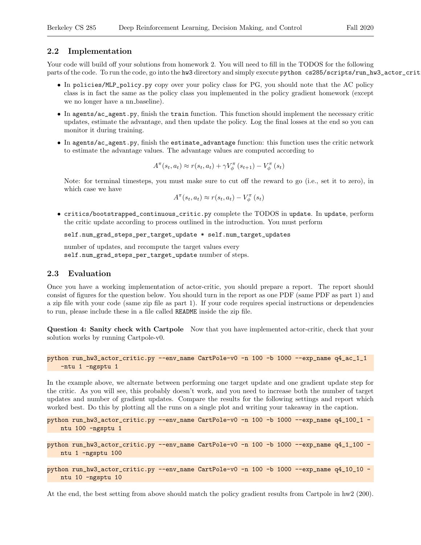### 2.2 Implementation

Your code will build off your solutions from homework 2. You will need to fill in the TODOS for the following parts of the code. To run the code, go into the hw3 directory and simply execute python cs285/scripts/run\_hw3\_actor\_crit

- In policies/MLP\_policy.py copy over your policy class for PG, you should note that the AC policy class is in fact the same as the policy class you implemented in the policy gradient homework (except we no longer have a nn\_baseline).
- In agents/ac\_agent.py, finish the train function. This function should implement the necessary critic updates, estimate the advantage, and then update the policy. Log the final losses at the end so you can monitor it during training.
- In agents/ac\_agent.py, finish the estimate\_advantage function: this function uses the critic network to estimate the advantage values. The advantage values are computed according to

$$
A^{\pi}(s_t, a_t) \approx r(s_t, a_t) + \gamma V_{\phi}^{\pi}(s_{t+1}) - V_{\phi}^{\pi}(s_t)
$$

Note: for terminal timesteps, you must make sure to cut off the reward to go (i.e., set it to zero), in which case we have

$$
A^{\pi}(s_t, a_t) \approx r(s_t, a_t) - V^{\pi}_{\phi}(s_t)
$$

*•* critics/bootstrapped\_continuous\_critic.py complete the TODOS in update. In update, perform the critic update according to process outlined in the introduction. You must perform

```
self.num_grad_steps_per_target_update * self.num_target_updates
```
number of updates, and recompute the target values every self.num\_grad\_steps\_per\_target\_update number of steps.

#### 2.3 Evaluation

Once you have a working implementation of actor-critic, you should prepare a report. The report should consist of figures for the question below. You should turn in the report as one PDF (same PDF as part 1) and a zip file with your code (same zip file as part 1). If your code requires special instructions or dependencies to run, please include these in a file called README inside the zip file.

Question 4: Sanity check with Cartpole Now that you have implemented actor-critic, check that your solution works by running Cartpole-v0.

```
python run_hw3_actor_critic.py --env_name CartPole-v0 -n 100 -b 1000 --exp_name q4_ac_1_1
    -ntu 1 -ngsptu 1
```
In the example above, we alternate between performing one target update and one gradient update step for the critic. As you will see, this probably doesn't work, and you need to increase both the number of target updates and number of gradient updates. Compare the results for the following settings and report which worked best. Do this by plotting all the runs on a single plot and writing your takeaway in the caption.

```
python run_hw3_actor_critic.py --env_name CartPole-v0 -n 100 -b 1000 --exp_name q4_100_1 -
   ntu 100 -ngsptu 1
```

```
python run_hw3_actor_critic.py --env_name CartPole-v0 -n 100 -b 1000 --exp_name q4_1_100 -
   ntu 1 -ngsptu 100
```

```
python run_hw3_actor_critic.py --env_name CartPole-v0 -n 100 -b 1000 --exp_name q4_10_10 -
   ntu 10 -ngsptu 10
```
At the end, the best setting from above should match the policy gradient results from Cartpole in hw2 (200).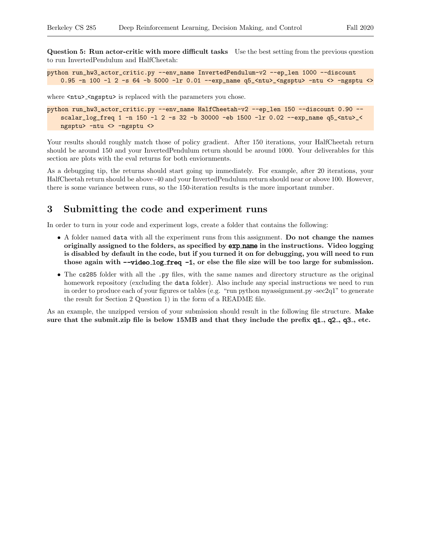Question 5: Run actor-critic with more difficult tasks Use the best setting from the previous question to run InvertedPendulum and HalfCheetah:

python run\_hw3\_actor\_critic.py --env\_name InvertedPendulum-v2 --ep\_len 1000 --discount 0.95 -n 100 -l 2 -s 64 -b 5000 -lr 0.01 --exp\_name q5\_<ntu> <ngsptu> -ntu <> -ngsptu <>

where  $\langle$ ntu $\rangle$ \_ $\langle$ ngsptu $\rangle$  is replaced with the parameters you chose.

```
python run_hw3_actor_critic.py --env_name HalfCheetah-v2 --ep_len 150 --discount 0.90 --
   scalar_log_freq 1 -n 150 -l 2 -s 32 -b 30000 -eb 1500 -lr 0.02 --exp_name q5_<ntu>_<
   ngsptu> -ntu <> -ngsptu <>
```
Your results should roughly match those of policy gradient. After 150 iterations, your HalfCheetah return should be around 150 and your InvertedPendulum return should be around 1000. Your deliverables for this section are plots with the eval returns for both enviornments.

As a debugging tip, the returns should start going up immediately. For example, after 20 iterations, your HalfCheetah return should be above -40 and your InvertedPendulum return should near or above 100. However, there is some variance between runs, so the 150-iteration results is the more important number.

# 3 Submitting the code and experiment runs

In order to turn in your code and experiment logs, create a folder that contains the following:

- A folder named data with all the experiment runs from this assignment. Do not change the names originally assigned to the folders, as specified by exp\_name in the instructions. Video logging is disabled by default in the code, but if you turned it on for debugging, you will need to run those again with  $-\nu$ ideo<sub>-log-freq</sub>  $-1$ , or else the file size will be too large for submission.
- The cs285 folder with all the .py files, with the same names and directory structure as the original homework repository (excluding the data folder). Also include any special instructions we need to run in order to produce each of your figures or tables (e.g. "run python myassignment.py -sec2q1" to generate the result for Section 2 Question 1) in the form of a README file.

As an example, the unzipped version of your submission should result in the following file structure. Make sure that the submit.zip file is below 15MB and that they include the prefix  $q_1$ ,  $q_2$ ,  $q_3$ , etc.